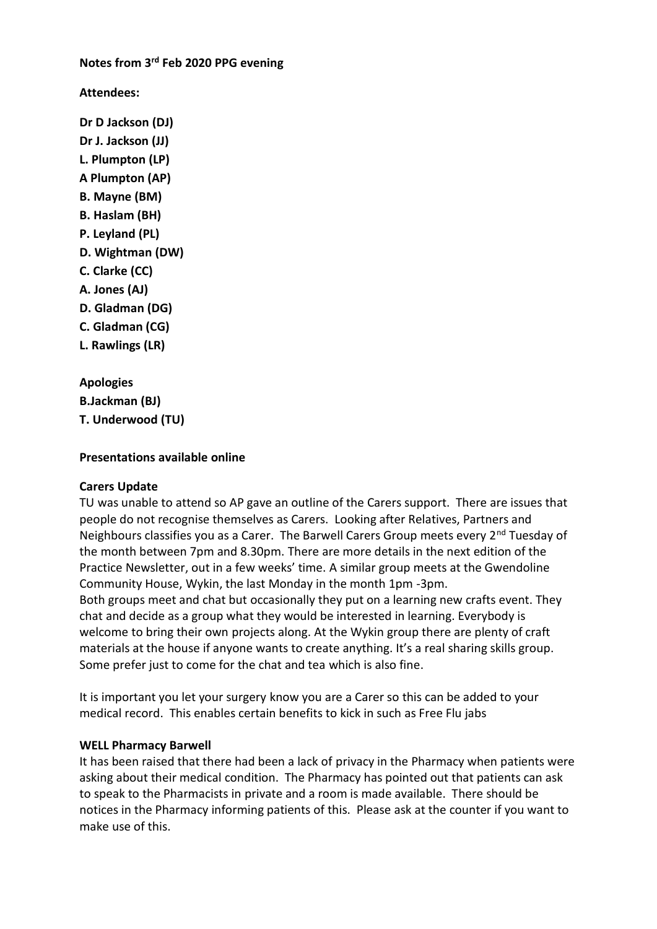**Notes from 3rd Feb 2020 PPG evening**

**Attendees:**

**Dr D Jackson (DJ) Dr J. Jackson (JJ) L. Plumpton (LP) A Plumpton (AP) B. Mayne (BM) B. Haslam (BH) P. Leyland (PL) D. Wightman (DW) C. Clarke (CC) A. Jones (AJ) D. Gladman (DG) C. Gladman (CG) L. Rawlings (LR)**

**Apologies B.Jackman (BJ) T. Underwood (TU)**

#### **Presentations available online**

#### **Carers Update**

TU was unable to attend so AP gave an outline of the Carers support. There are issues that people do not recognise themselves as Carers. Looking after Relatives, Partners and Neighbours classifies you as a Carer. The Barwell Carers Group meets every  $2^{nd}$  Tuesday of the month between 7pm and 8.30pm. There are more details in the next edition of the Practice Newsletter, out in a few weeks' time. A similar group meets at the Gwendoline Community House, Wykin, the last Monday in the month 1pm -3pm. Both groups meet and chat but occasionally they put on a learning new crafts event. They chat and decide as a group what they would be interested in learning. Everybody is welcome to bring their own projects along. At the Wykin group there are plenty of craft materials at the house if anyone wants to create anything. It's a real sharing skills group. Some prefer just to come for the chat and tea which is also fine.

It is important you let your surgery know you are a Carer so this can be added to your medical record. This enables certain benefits to kick in such as Free Flu jabs

#### **WELL Pharmacy Barwell**

It has been raised that there had been a lack of privacy in the Pharmacy when patients were asking about their medical condition. The Pharmacy has pointed out that patients can ask to speak to the Pharmacists in private and a room is made available. There should be notices in the Pharmacy informing patients of this. Please ask at the counter if you want to make use of this.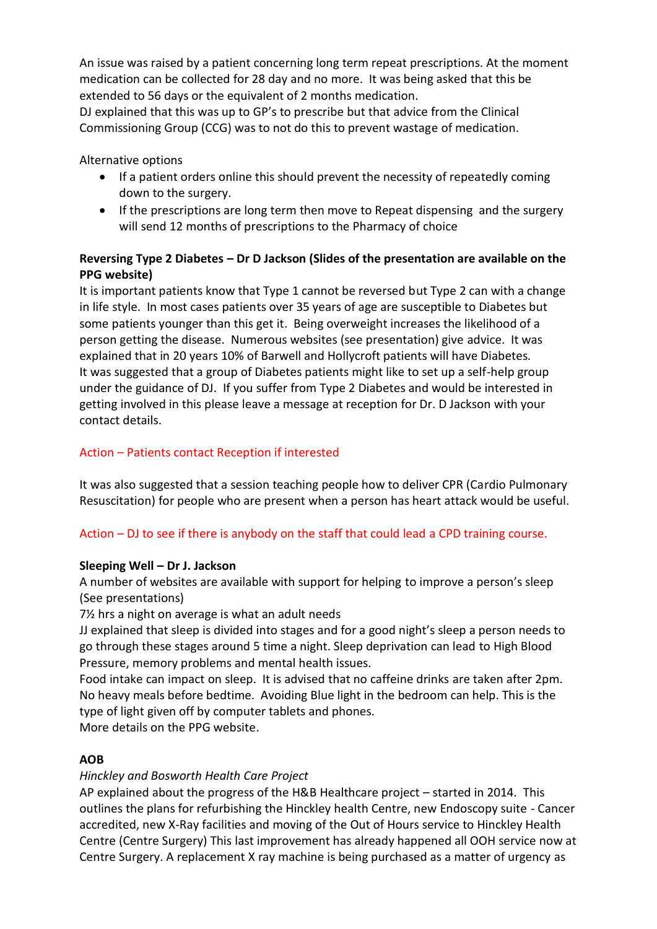An issue was raised by a patient concerning long term repeat prescriptions. At the moment medication can be collected for 28 day and no more. It was being asked that this be extended to 56 days or the equivalent of 2 months medication.

DJ explained that this was up to GP's to prescribe but that advice from the Clinical Commissioning Group (CCG) was to not do this to prevent wastage of medication.

Alternative options

- If a patient orders online this should prevent the necessity of repeatedly coming down to the surgery.
- If the prescriptions are long term then move to Repeat dispensing and the surgery will send 12 months of prescriptions to the Pharmacy of choice

## **Reversing Type 2 Diabetes – Dr D Jackson (Slides of the presentation are available on the PPG website)**

It is important patients know that Type 1 cannot be reversed but Type 2 can with a change in life style. In most cases patients over 35 years of age are susceptible to Diabetes but some patients younger than this get it. Being overweight increases the likelihood of a person getting the disease. Numerous websites (see presentation) give advice. It was explained that in 20 years 10% of Barwell and Hollycroft patients will have Diabetes. It was suggested that a group of Diabetes patients might like to set up a self-help group under the guidance of DJ. If you suffer from Type 2 Diabetes and would be interested in getting involved in this please leave a message at reception for Dr. D Jackson with your contact details.

## Action – Patients contact Reception if interested

It was also suggested that a session teaching people how to deliver CPR (Cardio Pulmonary Resuscitation) for people who are present when a person has heart attack would be useful.

# Action – DJ to see if there is anybody on the staff that could lead a CPD training course.

## **Sleeping Well – Dr J. Jackson**

A number of websites are available with support for helping to improve a person's sleep (See presentations)

7½ hrs a night on average is what an adult needs

JJ explained that sleep is divided into stages and for a good night's sleep a person needs to go through these stages around 5 time a night. Sleep deprivation can lead to High Blood Pressure, memory problems and mental health issues.

Food intake can impact on sleep. It is advised that no caffeine drinks are taken after 2pm. No heavy meals before bedtime. Avoiding Blue light in the bedroom can help. This is the type of light given off by computer tablets and phones.

More details on the PPG website.

## **AOB**

## *Hinckley and Bosworth Health Care Project*

AP explained about the progress of the H&B Healthcare project – started in 2014. This outlines the plans for refurbishing the Hinckley health Centre, new Endoscopy suite - Cancer accredited, new X-Ray facilities and moving of the Out of Hours service to Hinckley Health Centre (Centre Surgery) This last improvement has already happened all OOH service now at Centre Surgery. A replacement X ray machine is being purchased as a matter of urgency as